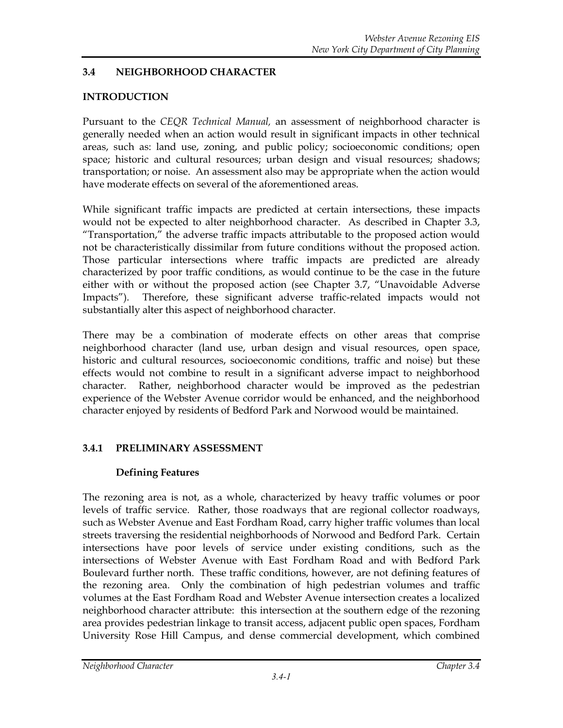# **3.4 NEIGHBORHOOD CHARACTER**

## **INTRODUCTION**

Pursuant to the *CEQR Technical Manual,* an assessment of neighborhood character is generally needed when an action would result in significant impacts in other technical areas, such as: land use, zoning, and public policy; socioeconomic conditions; open space; historic and cultural resources; urban design and visual resources; shadows; transportation; or noise. An assessment also may be appropriate when the action would have moderate effects on several of the aforementioned areas.

While significant traffic impacts are predicted at certain intersections, these impacts would not be expected to alter neighborhood character. As described in Chapter 3.3, "Transportation," the adverse traffic impacts attributable to the proposed action would not be characteristically dissimilar from future conditions without the proposed action. Those particular intersections where traffic impacts are predicted are already characterized by poor traffic conditions, as would continue to be the case in the future either with or without the proposed action (see Chapter 3.7, "Unavoidable Adverse Impacts"). Therefore, these significant adverse traffic-related impacts would not substantially alter this aspect of neighborhood character.

There may be a combination of moderate effects on other areas that comprise neighborhood character (land use, urban design and visual resources, open space, historic and cultural resources, socioeconomic conditions, traffic and noise) but these effects would not combine to result in a significant adverse impact to neighborhood character. Rather, neighborhood character would be improved as the pedestrian experience of the Webster Avenue corridor would be enhanced, and the neighborhood character enjoyed by residents of Bedford Park and Norwood would be maintained.

# **3.4.1 PRELIMINARY ASSESSMENT**

# **Defining Features**

The rezoning area is not, as a whole, characterized by heavy traffic volumes or poor levels of traffic service. Rather, those roadways that are regional collector roadways, such as Webster Avenue and East Fordham Road, carry higher traffic volumes than local streets traversing the residential neighborhoods of Norwood and Bedford Park. Certain intersections have poor levels of service under existing conditions, such as the intersections of Webster Avenue with East Fordham Road and with Bedford Park Boulevard further north. These traffic conditions, however, are not defining features of the rezoning area. Only the combination of high pedestrian volumes and traffic volumes at the East Fordham Road and Webster Avenue intersection creates a localized neighborhood character attribute: this intersection at the southern edge of the rezoning area provides pedestrian linkage to transit access, adjacent public open spaces, Fordham University Rose Hill Campus, and dense commercial development, which combined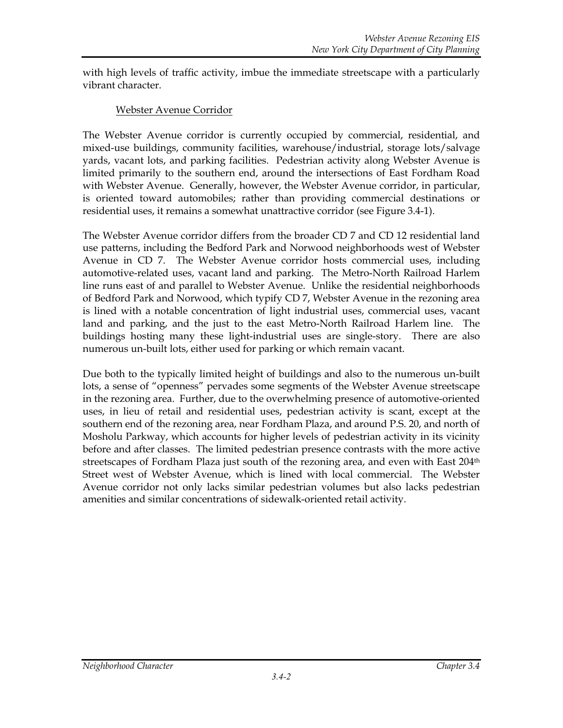with high levels of traffic activity, imbue the immediate streetscape with a particularly vibrant character.

### Webster Avenue Corridor

The Webster Avenue corridor is currently occupied by commercial, residential, and mixed-use buildings, community facilities, warehouse/industrial, storage lots/salvage yards, vacant lots, and parking facilities. Pedestrian activity along Webster Avenue is limited primarily to the southern end, around the intersections of East Fordham Road with Webster Avenue. Generally, however, the Webster Avenue corridor, in particular, is oriented toward automobiles; rather than providing commercial destinations or residential uses, it remains a somewhat unattractive corridor (see Figure 3.4-1).

The Webster Avenue corridor differs from the broader CD 7 and CD 12 residential land use patterns, including the Bedford Park and Norwood neighborhoods west of Webster Avenue in CD 7. The Webster Avenue corridor hosts commercial uses, including automotive-related uses, vacant land and parking. The Metro-North Railroad Harlem line runs east of and parallel to Webster Avenue. Unlike the residential neighborhoods of Bedford Park and Norwood, which typify CD 7, Webster Avenue in the rezoning area is lined with a notable concentration of light industrial uses, commercial uses, vacant land and parking, and the just to the east Metro-North Railroad Harlem line. The buildings hosting many these light-industrial uses are single-story. There are also numerous un-built lots, either used for parking or which remain vacant.

Due both to the typically limited height of buildings and also to the numerous un-built lots, a sense of "openness" pervades some segments of the Webster Avenue streetscape in the rezoning area. Further, due to the overwhelming presence of automotive-oriented uses, in lieu of retail and residential uses, pedestrian activity is scant, except at the southern end of the rezoning area, near Fordham Plaza, and around P.S. 20, and north of Mosholu Parkway, which accounts for higher levels of pedestrian activity in its vicinity before and after classes. The limited pedestrian presence contrasts with the more active streetscapes of Fordham Plaza just south of the rezoning area, and even with East 204<sup>th</sup> Street west of Webster Avenue, which is lined with local commercial. The Webster Avenue corridor not only lacks similar pedestrian volumes but also lacks pedestrian amenities and similar concentrations of sidewalk-oriented retail activity.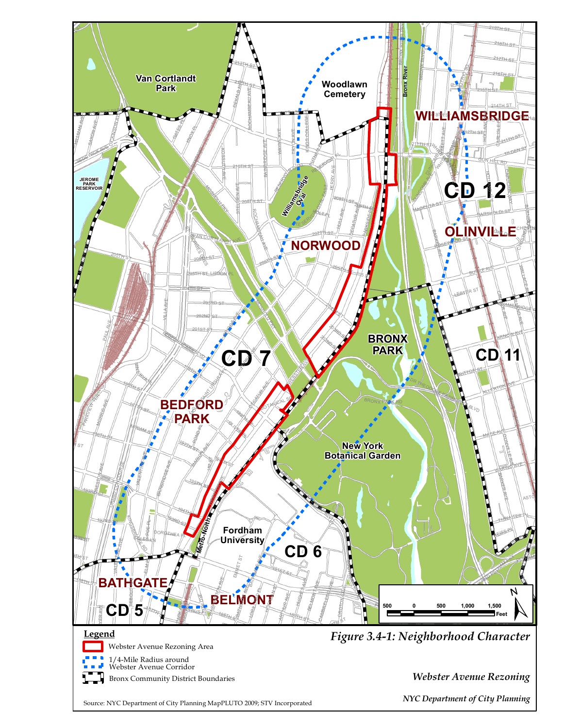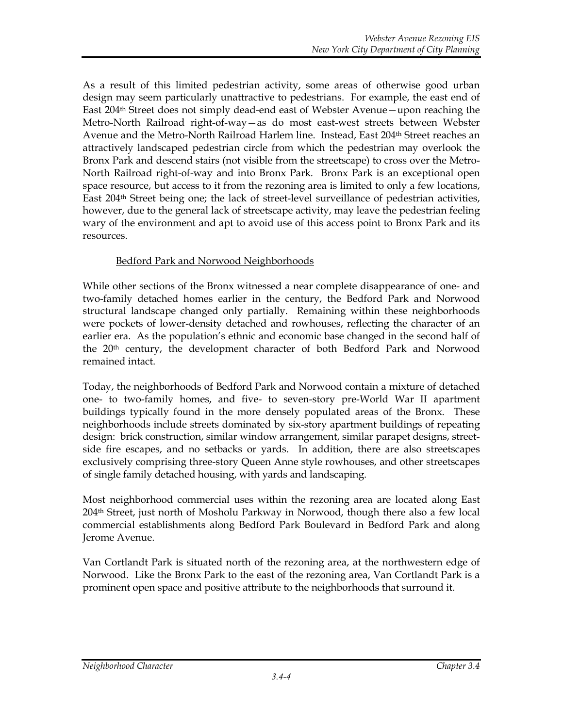As a result of this limited pedestrian activity, some areas of otherwise good urban design may seem particularly unattractive to pedestrians. For example, the east end of East 204th Street does not simply dead-end east of Webster Avenue—upon reaching the Metro-North Railroad right-of-way—as do most east-west streets between Webster Avenue and the Metro-North Railroad Harlem line. Instead, East 204th Street reaches an attractively landscaped pedestrian circle from which the pedestrian may overlook the Bronx Park and descend stairs (not visible from the streetscape) to cross over the Metro-North Railroad right-of-way and into Bronx Park. Bronx Park is an exceptional open space resource, but access to it from the rezoning area is limited to only a few locations, East 204th Street being one; the lack of street-level surveillance of pedestrian activities, however, due to the general lack of streetscape activity, may leave the pedestrian feeling wary of the environment and apt to avoid use of this access point to Bronx Park and its resources.

## Bedford Park and Norwood Neighborhoods

While other sections of the Bronx witnessed a near complete disappearance of one- and two-family detached homes earlier in the century, the Bedford Park and Norwood structural landscape changed only partially. Remaining within these neighborhoods were pockets of lower-density detached and rowhouses, reflecting the character of an earlier era. As the population's ethnic and economic base changed in the second half of the 20th century, the development character of both Bedford Park and Norwood remained intact.

Today, the neighborhoods of Bedford Park and Norwood contain a mixture of detached one- to two-family homes, and five- to seven-story pre-World War II apartment buildings typically found in the more densely populated areas of the Bronx. These neighborhoods include streets dominated by six-story apartment buildings of repeating design: brick construction, similar window arrangement, similar parapet designs, streetside fire escapes, and no setbacks or yards. In addition, there are also streetscapes exclusively comprising three-story Queen Anne style rowhouses, and other streetscapes of single family detached housing, with yards and landscaping.

Most neighborhood commercial uses within the rezoning area are located along East  $204<sup>th</sup>$  Street, just north of Mosholu Parkway in Norwood, though there also a few local commercial establishments along Bedford Park Boulevard in Bedford Park and along Jerome Avenue.

Van Cortlandt Park is situated north of the rezoning area, at the northwestern edge of Norwood. Like the Bronx Park to the east of the rezoning area, Van Cortlandt Park is a prominent open space and positive attribute to the neighborhoods that surround it.

#### *Neighborhood Character Chapter 3.4*